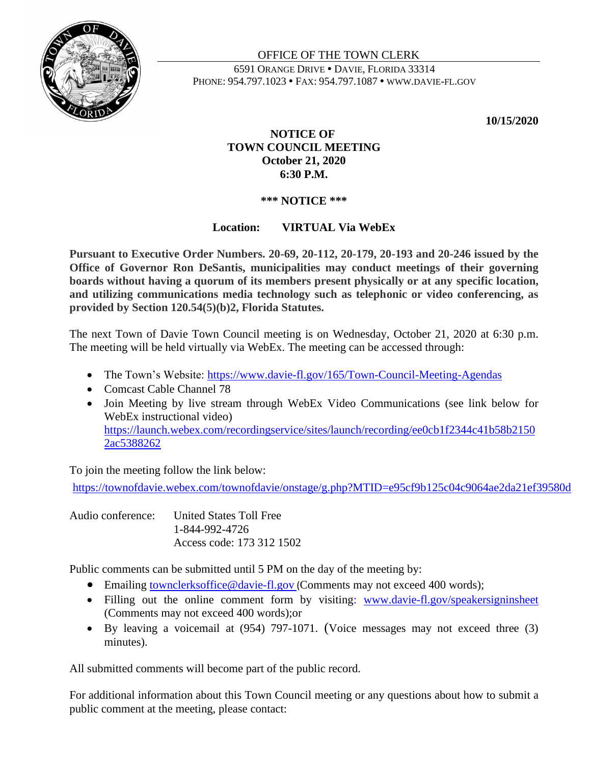

#### OFFICE OF THE TOWN CLERK 6591 ORANGE DRIVE DAVIE, FLORIDA 33314 PHONE: 954.797.1023 • FAX: 954.797.1087 • WWW.DAVIE-FL.GOV

**10/15/2020**

# **NOTICE OF TOWN COUNCIL MEETING October 21, 2020 6:30 P.M.**

# **\*\*\* NOTICE \*\*\***

# **Location: VIRTUAL Via WebEx**

**Pursuant to Executive Order Numbers. 20-69, 20-112, 20-179, 20-193 and 20-246 issued by the Office of Governor Ron DeSantis, municipalities may conduct meetings of their governing boards without having a quorum of its members present physically or at any specific location, and utilizing communications media technology such as telephonic or video conferencing, as provided by Section 120.54(5)(b)2, Florida Statutes.**

The next Town of Davie Town Council meeting is on Wednesday, October 21, 2020 at 6:30 p.m. The meeting will be held virtually via WebEx. The meeting can be accessed through:

- The Town's Website:<https://www.davie-fl.gov/165/Town-Council-Meeting-Agendas>
- Comcast Cable Channel 78
- Join Meeting by live stream through WebEx Video Communications (see link below for WebEx instructional video) [https://launch.webex.com/recordingservice/sites/launch/recording/ee0cb1f2344c41b58b2150](https://launch.webex.com/recordingservice/sites/launch/recording/ee0cb1f2344c41b58b21502ac5388262) [2ac5388262](https://launch.webex.com/recordingservice/sites/launch/recording/ee0cb1f2344c41b58b21502ac5388262)

To join the meeting follow the link below:

<https://townofdavie.webex.com/townofdavie/onstage/g.php?MTID=e95cf9b125c04c9064ae2da21ef39580d>

Audio conference: United States Toll Free 1-844-992-4726 Access code: 173 312 1502

Public comments can be submitted until 5 PM on the day of the meeting by:

- Emailing [townclerksoffice@davie-fl.gov](mailto:townclerksoffice@davie-fl.gov) (Comments may not exceed 400 words);
- Filling out the online comment form by visiting: [www.davie-fl.gov/speakersigninsheet](http://www.davie-fl.gov/speakersigninsheet) (Comments may not exceed 400 words);or
- By leaving a voicemail at (954) 797-1071. (Voice messages may not exceed three (3) minutes).

All submitted comments will become part of the public record.

For additional information about this Town Council meeting or any questions about how to submit a public comment at the meeting, please contact: